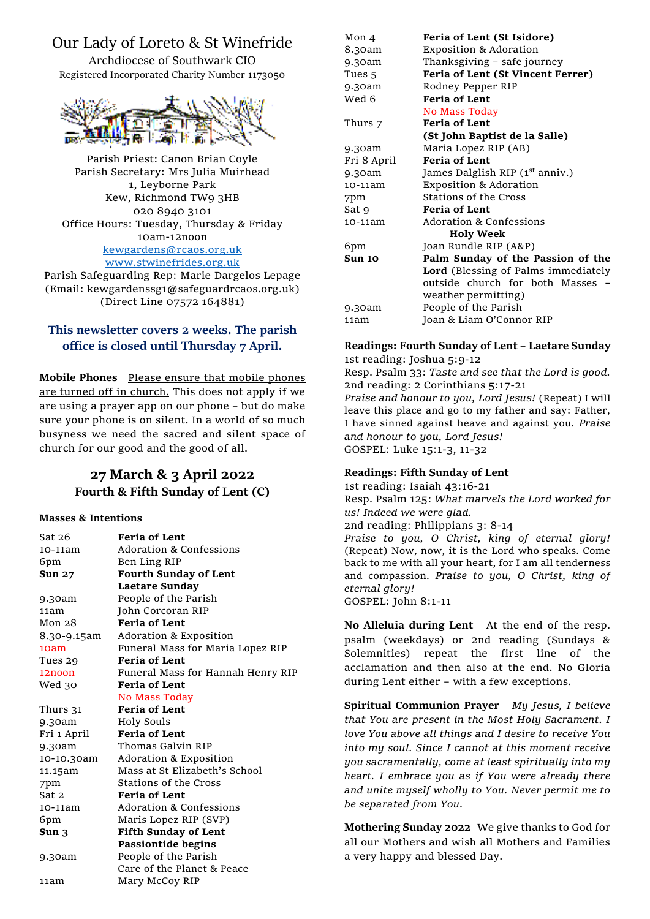# Our Lady of Loreto & St Winefride

Archdiocese of Southwark CIO Registered Incorporated Charity Number 1173050



Parish Priest: Canon Brian Coyle Parish Secretary: Mrs Julia Muirhead 1, Leyborne Park Kew, Richmond TW9 3HB 020 8940 3101 Office Hours: Tuesday, Thursday & Friday 10am-12noon [kewgardens@rcaos.org.uk](mailto:kewgardens@rcaos.org.uk) [www.stwinefrides.org.uk](http://www.stwinefrides.org.uk/) Parish Safeguarding Rep: Marie Dargelos Lepage

(Email: kewgardenssg1@safeguardrcaos.org.uk) (Direct Line 07572 164881)

## **This newsletter covers 2 weeks. The parish office is closed until Thursday 7 April.**

**Mobile Phones** Please ensure that mobile phones are turned off in church. This does not apply if we are using a prayer app on our phone – but do make sure your phone is on silent. In a world of so much busyness we need the sacred and silent space of church for our good and the good of all.

## **27 March & 3 April 2022 Fourth & Fifth Sunday of Lent (C)**

### **Masses & Intentions**

| Sat 26            | <b>Feria of Lent</b>               |
|-------------------|------------------------------------|
| 10-11am           | Adoration & Confessions            |
| 6pm               | Ben Ling RIP                       |
| <b>Sun 27</b>     | <b>Fourth Sunday of Lent</b>       |
|                   | Laetare Sunday                     |
| 9.30am            | People of the Parish               |
| 11am              | John Corcoran RIP                  |
| Mon <sub>28</sub> | <b>Feria of Lent</b>               |
| 8.30-9.15am       | Adoration & Exposition             |
| 10am              | Funeral Mass for Maria Lopez RIP   |
| Tues 29           | <b>Feria of Lent</b>               |
| 12noon            | Funeral Mass for Hannah Henry RIP  |
| Wed 30            | <b>Feria of Lent</b>               |
|                   | No Mass Today                      |
| Thurs 31          | <b>Feria of Lent</b>               |
| 9.30am            | Holy Souls                         |
| Fri 1 April       | <b>Feria of Lent</b>               |
| 9.30am            | Thomas Galvin RIP                  |
| 10-10.30am        | Adoration & Exposition             |
| 11.15am           | Mass at St Elizabeth's School      |
| 7pm               | Stations of the Cross              |
| Sat 2             | Feria of Lent                      |
| 10-11am           | <b>Adoration &amp; Confessions</b> |
| 6pm               | Maris Lopez RIP (SVP)              |
| Sun 3             | <b>Fifth Sunday of Lent</b>        |
|                   | <b>Passiontide begins</b>          |
| 9.30am            | People of the Parish               |
|                   | Care of the Planet & Peace         |
| 11am              | Mary McCoy RIP                     |

Sat 9 **Feria of Lent**<br>10-11am Adoration & C Adoration & Confessions 6pm Joan Rundle RIP (A&P) **Sun 10 Palm Sunday of the Passion of the Lord** (Blessing of Palms immediately outside church for both Masses – weather permitting) 9.30am People of the Parish 11am Joan & Liam O'Connor RIP

#### Mon 4 **Feria of Lent (St Isidore)** 8.30am Exposition & Adoration 9.30am Thanksgiving – safe journey Tues 5 **Feria of Lent (St Vincent Ferrer)** 9.30am Rodney Pepper RIP Wed 6 **Feria of Lent** No Mass Today Thurs 7 **Feria of Lent (St John Baptist de la Salle)** 9.30am Maria Lopez RIP (AB) Fri 8 April **Feria of Lent** 9.30am James Dalglish RIP (1<sup>st</sup> anniv.) 10-11am Exposition & Adoration 7pm Stations of the Cross

# **Readings: Fourth Sunday of Lent – Laetare Sunday** 1st reading: Joshua 5:9-12

**Holy Week**

Resp. Psalm 33: *Taste and see that the Lord is good.* 2nd reading: 2 Corinthians 5:17-21

*Praise and honour to you, Lord Jesus!* (Repeat) I will leave this place and go to my father and say: Father, I have sinned against heave and against you. *Praise and honour to you, Lord Jesus!*  GOSPEL: Luke 15:1-3, 11-32

## **Readings: Fifth Sunday of Lent**

1st reading: Isaiah 43:16-21 Resp. Psalm 125: *What marvels the Lord worked for us! Indeed we were glad.* 2nd reading: Philippians 3: 8-14 *Praise to you, O Christ, king of eternal glory!* (Repeat) Now, now, it is the Lord who speaks. Come back to me with all your heart, for I am all tenderness and compassion. *Praise to you, O Christ, king of eternal glory!* GOSPEL: John 8:1-11

**No Alleluia during Lent** At the end of the resp. psalm (weekdays) or 2nd reading (Sundays & Solemnities) repeat the first line of the acclamation and then also at the end. No Gloria during Lent either – with a few exceptions.

**Spiritual Communion Prayer** *My Jesus, I believe that You are present in the Most Holy Sacrament. I love You above all things and I desire to receive You into my soul. Since I cannot at this moment receive you sacramentally, come at least spiritually into my heart. I embrace you as if You were already there and unite myself wholly to You. Never permit me to be separated from You.*

**Mothering Sunday 2022** We give thanks to God for all our Mothers and wish all Mothers and Families a very happy and blessed Day.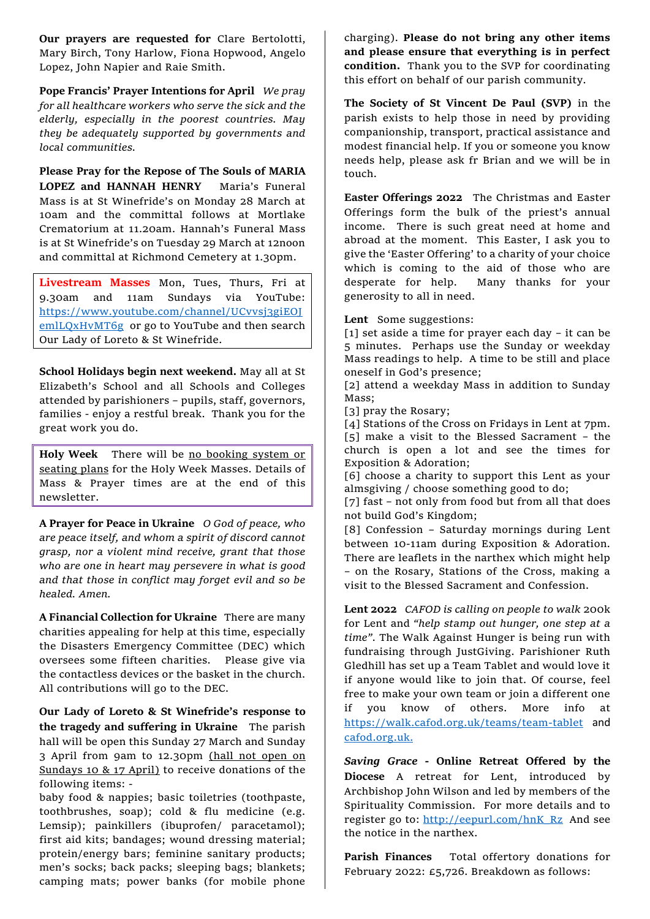**Our prayers are requested for** Clare Bertolotti, Mary Birch, Tony Harlow, Fiona Hopwood, Angelo Lopez, John Napier and Raie Smith.

**Pope Francis' Prayer Intentions for April** *We pray for all healthcare workers who serve the sick and the elderly, especially in the poorest countries. May they be adequately supported by governments and local communities.*

**Please Pray for the Repose of The Souls of MARIA LOPEZ and HANNAH HENRY** Maria's Funeral Mass is at St Winefride's on Monday 28 March at 10am and the committal follows at Mortlake Crematorium at 11.20am. Hannah's Funeral Mass is at St Winefride's on Tuesday 29 March at 12noon and committal at Richmond Cemetery at 1.30pm.

**Livestream Masses** Mon, Tues, Thurs, Fri at 9.30am and 11am Sundays via YouTube: [https://www.youtube.com/channel/UCvvsj3giEOJ](https://www.youtube.com/channel/UCvvsj3giEOJemlLQxHvMT6g) [emlLQxHvMT6g](https://www.youtube.com/channel/UCvvsj3giEOJemlLQxHvMT6g) or go to YouTube and then search Our Lady of Loreto & St Winefride.

**School Holidays begin next weekend.** May all at St Elizabeth's School and all Schools and Colleges attended by parishioners – pupils, staff, governors, families - enjoy a restful break. Thank you for the great work you do.

**Holy Week** There will be no booking system or seating plans for the Holy Week Masses. Details of Mass & Prayer times are at the end of this newsletter.

**A Prayer for Peace in Ukraine** *O God of peace, who are peace itself, and whom a spirit of discord cannot grasp, nor a violent mind receive, grant that those who are one in heart may persevere in what is good and that those in conflict may forget evil and so be healed. Amen.* 

**A Financial Collection for Ukraine** There are many charities appealing for help at this time, especially the Disasters Emergency Committee (DEC) which oversees some fifteen charities. Please give via the contactless devices or the basket in the church. All contributions will go to the DEC.

**Our Lady of Loreto & St Winefride's response to the tragedy and suffering in Ukraine** The parish hall will be open this Sunday 27 March and Sunday 3 April from 9am to 12.30pm (hall not open on Sundays 10 & 17 April) to receive donations of the following items: -

baby food & nappies; basic toiletries (toothpaste, toothbrushes, soap); cold & flu medicine (e.g. Lemsip); painkillers (ibuprofen/ paracetamol); first aid kits; bandages; wound dressing material; protein/energy bars; feminine sanitary products; men's socks; back packs; sleeping bags; blankets; camping mats; power banks (for mobile phone charging). **Please do not bring any other items and please ensure that everything is in perfect condition.** Thank you to the SVP for coordinating this effort on behalf of our parish community.

**The Society of St Vincent De Paul (SVP)** in the parish exists to help those in need by providing companionship, transport, practical assistance and modest financial help. If you or someone you know needs help, please ask fr Brian and we will be in touch.

**Easter Offerings 2022** The Christmas and Easter Offerings form the bulk of the priest's annual income. There is such great need at home and abroad at the moment. This Easter, I ask you to give the 'Easter Offering' to a charity of your choice which is coming to the aid of those who are desperate for help. Many thanks for your generosity to all in need.

**Lent** Some suggestions:

[1] set aside a time for prayer each day – it can be 5 minutes. Perhaps use the Sunday or weekday Mass readings to help. A time to be still and place oneself in God's presence;

[2] attend a weekday Mass in addition to Sunday Mass;

[3] pray the Rosary;

[4] Stations of the Cross on Fridays in Lent at 7pm. [5] make a visit to the Blessed Sacrament – the church is open a lot and see the times for Exposition & Adoration;

[6] choose a charity to support this Lent as your almsgiving / choose something good to do;

[7] fast – not only from food but from all that does not build God's Kingdom;

[8] Confession – Saturday mornings during Lent between 10-11am during Exposition & Adoration. There are leaflets in the narthex which might help – on the Rosary, Stations of the Cross, making a visit to the Blessed Sacrament and Confession.

**Lent 2022** *CAFOD is calling on people to walk* 200k for Lent and *"help stamp out hunger, one step at a time".* The Walk Against Hunger is being run with fundraising through JustGiving. Parishioner Ruth Gledhill has set up a Team Tablet and would love it if anyone would like to join that. Of course, feel free to make your own team or join a different one if you know of others. More info at <https://walk.cafod.org.uk/teams/team-tablet> and [cafod.org.uk.](http://cafod.org.uk/)

*Saving Grace* **- Online Retreat Offered by the Diocese** A retreat for Lent, introduced by Archbishop John Wilson and led by members of the Spirituality Commission. For more details and to register go to: [http://eepurl.com/hnK\\_Rz](http://eepurl.com/hnK_Rz) And see the notice in the narthex.

**Parish Finances** Total offertory donations for February 2022: £5,726. Breakdown as follows: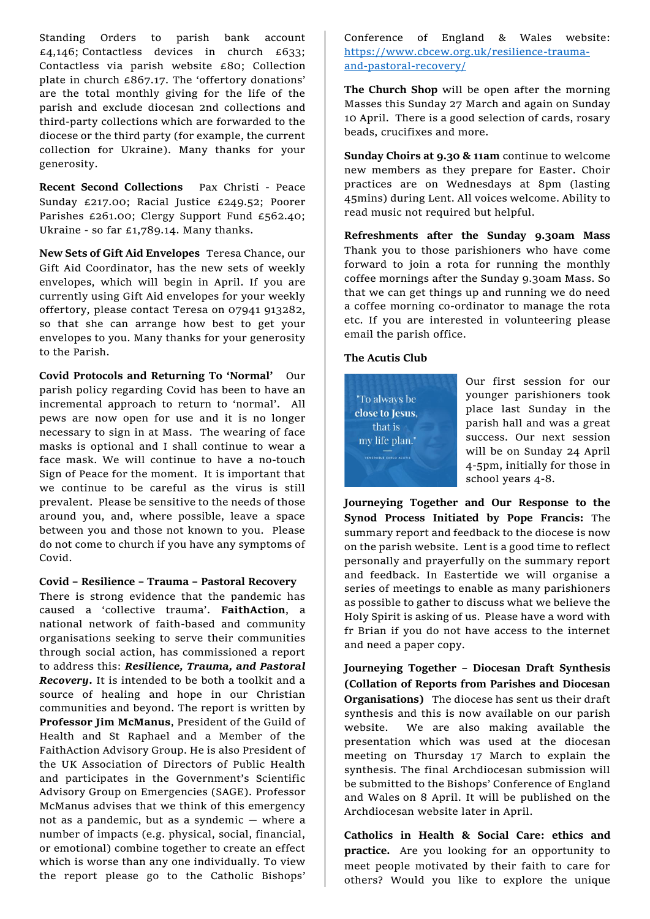Standing Orders to parish bank account  $£4,146$ ; Contactless devices in church £633; Contactless via parish website £80; Collection plate in church £867.17. The 'offertory donations' are the total monthly giving for the life of the parish and exclude diocesan 2nd collections and third-party collections which are forwarded to the diocese or the third party (for example, the current collection for Ukraine). Many thanks for your generosity.

**Recent Second Collections** Pax Christi - Peace Sunday £217.00; Racial Justice £249.52; Poorer Parishes £261.00; Clergy Support Fund £562.40; Ukraine - so far £1,789.14. Many thanks.

**New Sets of Gift Aid Envelopes** Teresa Chance, our Gift Aid Coordinator, has the new sets of weekly envelopes, which will begin in April. If you are currently using Gift Aid envelopes for your weekly offertory, please contact Teresa on 07941 913282, so that she can arrange how best to get your envelopes to you. Many thanks for your generosity to the Parish.

**Covid Protocols and Returning To 'Normal'** Our parish policy regarding Covid has been to have an incremental approach to return to 'normal'. All pews are now open for use and it is no longer necessary to sign in at Mass. The wearing of face masks is optional and I shall continue to wear a face mask. We will continue to have a no-touch Sign of Peace for the moment. It is important that we continue to be careful as the virus is still prevalent. Please be sensitive to the needs of those around you, and, where possible, leave a space between you and those not known to you. Please do not come to church if you have any symptoms of Covid.

#### **Covid – Resilience – Trauma – Pastoral Recovery**

There is strong evidence that the pandemic has caused a 'collective trauma'. **FaithAction**, a national network of faith-based and community organisations seeking to serve their communities through social action, has commissioned a report to address this: *Resilience, Trauma, and Pastoral Recovery***.** It is intended to be both a toolkit and a source of healing and hope in our Christian communities and beyond. The report is written by **Professor Jim McManus**, President of the Guild of Health and St Raphael and a Member of the FaithAction Advisory Group. He is also President of the UK Association of Directors of Public Health and participates in the Government's Scientific Advisory Group on Emergencies (SAGE). Professor McManus advises that we think of this emergency not as a pandemic, but as a syndemic — where a number of impacts (e.g. physical, social, financial, or emotional) combine together to create an effect which is worse than any one individually. To view the report please go to the Catholic Bishops'

Conference of England & Wales website: [https://www.cbcew.org.uk/resilience-trauma](https://www.cbcew.org.uk/resilience-trauma-and-pastoral-recovery/)[and-pastoral-recovery/](https://www.cbcew.org.uk/resilience-trauma-and-pastoral-recovery/)

**The Church Shop** will be open after the morning Masses this Sunday 27 March and again on Sunday 10 April. There is a good selection of cards, rosary beads, crucifixes and more.

**Sunday Choirs at 9.30 & 11am** continue to welcome new members as they prepare for Easter. Choir practices are on Wednesdays at 8pm (lasting 45mins) during Lent. All voices welcome. Ability to read music not required but helpful.

**Refreshments after the Sunday 9.30am Mass**  Thank you to those parishioners who have come forward to join a rota for running the monthly coffee mornings after the Sunday 9.30am Mass. So that we can get things up and running we do need a coffee morning co-ordinator to manage the rota etc. If you are interested in volunteering please email the parish office.

#### **The Acutis Club**



Our first session for our younger parishioners took place last Sunday in the parish hall and was a great success. Our next session will be on Sunday 24 April 4-5pm, initially for those in school years 4-8.

**Journeying Together and Our Response to the Synod Process Initiated by Pope Francis:** The summary report and feedback to the diocese is now on the parish website. Lent is a good time to reflect personally and prayerfully on the summary report and feedback. In Eastertide we will organise a series of meetings to enable as many parishioners as possible to gather to discuss what we believe the Holy Spirit is asking of us.Please have a word with fr Brian if you do not have access to the internet and need a paper copy.

**Journeying Together – Diocesan Draft Synthesis (Collation of Reports from Parishes and Diocesan Organisations)** The diocese has sent us their draft synthesis and this is now available on our parish website. We are also making available the presentation which was used at the diocesan meeting on Thursday 17 March to explain the synthesis. The final Archdiocesan submission will be submitted to the Bishops' Conference of England and Wales on 8 April. It will be published on the Archdiocesan website later in April.

**Catholics in Health & Social Care: ethics and practice.** Are you looking for an opportunity to meet people motivated by their faith to care for others? Would you like to explore the unique